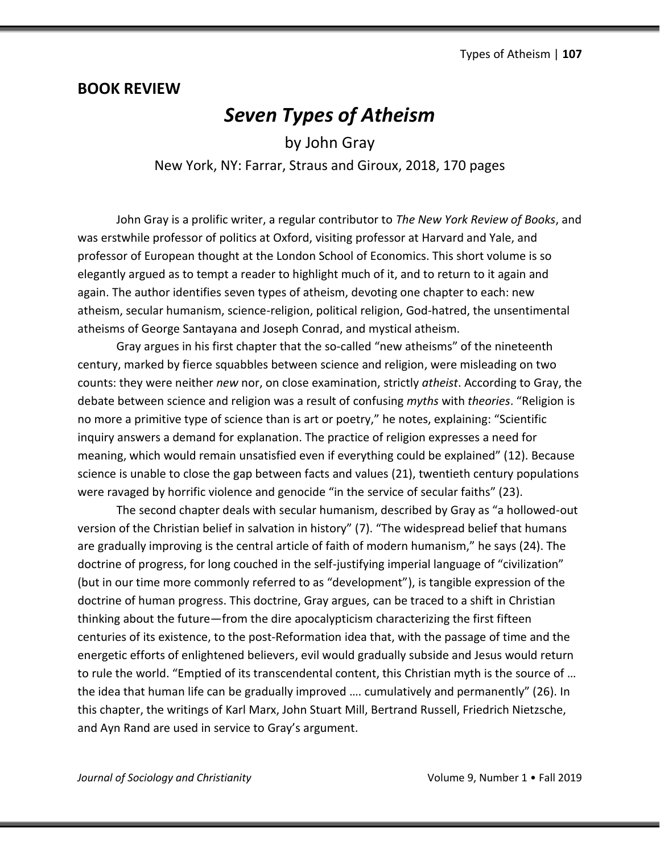## **BOOK REVIEW**

## *Seven Types of Atheism*

by John Gray New York, NY: Farrar, Straus and Giroux, 2018, 170 pages

John Gray is a prolific writer, a regular contributor to *The New York Review of Books*, and was erstwhile professor of politics at Oxford, visiting professor at Harvard and Yale, and professor of European thought at the London School of Economics. This short volume is so elegantly argued as to tempt a reader to highlight much of it, and to return to it again and again. The author identifies seven types of atheism, devoting one chapter to each: new atheism, secular humanism, science-religion, political religion, God-hatred, the unsentimental atheisms of George Santayana and Joseph Conrad, and mystical atheism.

Gray argues in his first chapter that the so-called "new atheisms" of the nineteenth century, marked by fierce squabbles between science and religion, were misleading on two counts: they were neither *new* nor, on close examination, strictly *atheist*. According to Gray, the debate between science and religion was a result of confusing *myths* with *theories*. "Religion is no more a primitive type of science than is art or poetry," he notes, explaining: "Scientific inquiry answers a demand for explanation. The practice of religion expresses a need for meaning, which would remain unsatisfied even if everything could be explained" (12). Because science is unable to close the gap between facts and values (21), twentieth century populations were ravaged by horrific violence and genocide "in the service of secular faiths" (23).

The second chapter deals with secular humanism, described by Gray as "a hollowed-out version of the Christian belief in salvation in history" (7). "The widespread belief that humans are gradually improving is the central article of faith of modern humanism," he says (24). The doctrine of progress, for long couched in the self-justifying imperial language of "civilization" (but in our time more commonly referred to as "development"), is tangible expression of the doctrine of human progress. This doctrine, Gray argues, can be traced to a shift in Christian thinking about the future—from the dire apocalypticism characterizing the first fifteen centuries of its existence, to the post-Reformation idea that, with the passage of time and the energetic efforts of enlightened believers, evil would gradually subside and Jesus would return to rule the world. "Emptied of its transcendental content, this Christian myth is the source of … the idea that human life can be gradually improved …. cumulatively and permanently" (26). In this chapter, the writings of Karl Marx, John Stuart Mill, Bertrand Russell, Friedrich Nietzsche, and Ayn Rand are used in service to Gray's argument.

*Journal of Sociology and Christianity* **Volume 9, Number 1 • Fall 2019**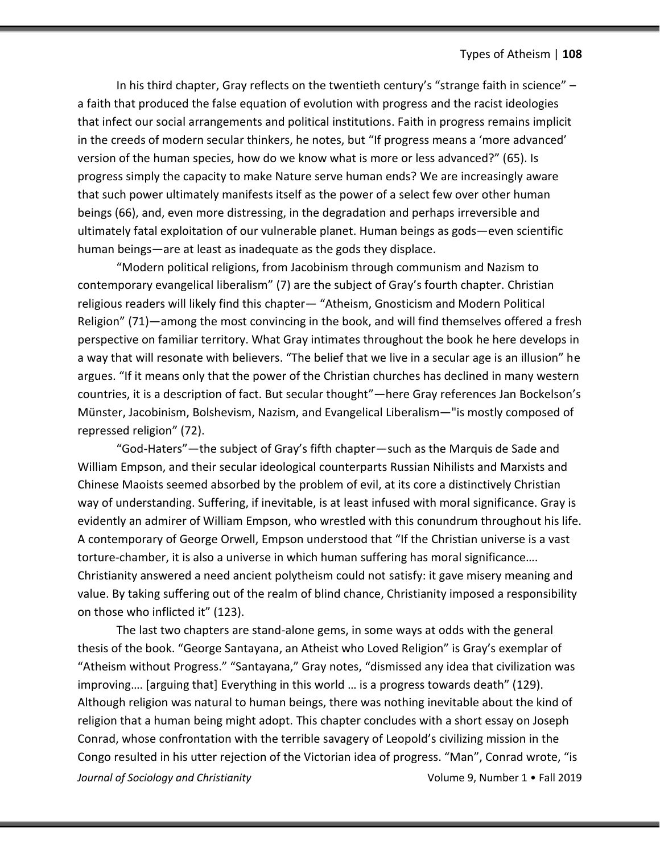In his third chapter, Gray reflects on the twentieth century's "strange faith in science" – a faith that produced the false equation of evolution with progress and the racist ideologies that infect our social arrangements and political institutions. Faith in progress remains implicit in the creeds of modern secular thinkers, he notes, but "If progress means a 'more advanced' version of the human species, how do we know what is more or less advanced?" (65). Is progress simply the capacity to make Nature serve human ends? We are increasingly aware that such power ultimately manifests itself as the power of a select few over other human beings (66), and, even more distressing, in the degradation and perhaps irreversible and ultimately fatal exploitation of our vulnerable planet. Human beings as gods—even scientific human beings—are at least as inadequate as the gods they displace.

"Modern political religions, from Jacobinism through communism and Nazism to contemporary evangelical liberalism" (7) are the subject of Gray's fourth chapter. Christian religious readers will likely find this chapter— "Atheism, Gnosticism and Modern Political Religion" (71)—among the most convincing in the book, and will find themselves offered a fresh perspective on familiar territory. What Gray intimates throughout the book he here develops in a way that will resonate with believers. "The belief that we live in a secular age is an illusion" he argues. "If it means only that the power of the Christian churches has declined in many western countries, it is a description of fact. But secular thought"—here Gray references Jan Bockelson's Münster, Jacobinism, Bolshevism, Nazism, and Evangelical Liberalism—"is mostly composed of repressed religion" (72).

"God-Haters"—the subject of Gray's fifth chapter—such as the Marquis de Sade and William Empson, and their secular ideological counterparts Russian Nihilists and Marxists and Chinese Maoists seemed absorbed by the problem of evil, at its core a distinctively Christian way of understanding. Suffering, if inevitable, is at least infused with moral significance. Gray is evidently an admirer of William Empson, who wrestled with this conundrum throughout his life. A contemporary of George Orwell, Empson understood that "If the Christian universe is a vast torture-chamber, it is also a universe in which human suffering has moral significance…. Christianity answered a need ancient polytheism could not satisfy: it gave misery meaning and value. By taking suffering out of the realm of blind chance, Christianity imposed a responsibility on those who inflicted it" (123).

*Journal of Sociology and Christianity* **Volume 9, Number 1 • Fall 2019** The last two chapters are stand-alone gems, in some ways at odds with the general thesis of the book. "George Santayana, an Atheist who Loved Religion" is Gray's exemplar of "Atheism without Progress." "Santayana," Gray notes, "dismissed any idea that civilization was improving…. [arguing that] Everything in this world … is a progress towards death" (129). Although religion was natural to human beings, there was nothing inevitable about the kind of religion that a human being might adopt. This chapter concludes with a short essay on Joseph Conrad, whose confrontation with the terrible savagery of Leopold's civilizing mission in the Congo resulted in his utter rejection of the Victorian idea of progress. "Man", Conrad wrote, "is